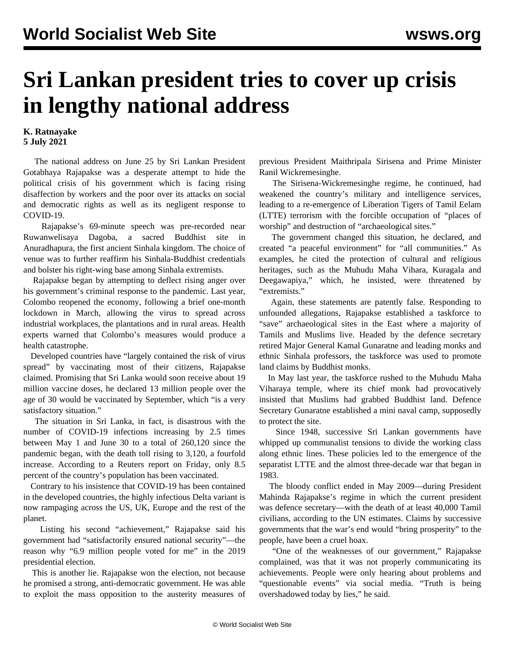## **Sri Lankan president tries to cover up crisis in lengthy national address**

## **K. Ratnayake 5 July 2021**

 The national address on June 25 by Sri Lankan President Gotabhaya Rajapakse was a desperate attempt to hide the political crisis of his government which is facing rising disaffection by workers and the poor over its attacks on social and democratic rights as well as its negligent response to COVID-19.

 Rajapakse's 69-minute speech was pre-recorded near Ruwanwelisaya Dagoba, a sacred Buddhist site in Anuradhapura, the first ancient Sinhala kingdom. The choice of venue was to further reaffirm his Sinhala-Buddhist credentials and bolster his right-wing base among Sinhala extremists.

 Rajapakse began by attempting to deflect rising anger over his government's criminal response to the pandemic. Last year, Colombo reopened the economy, following a brief one-month lockdown in March, allowing the virus to spread across industrial workplaces, the plantations and in rural areas. Health experts warned that Colombo's measures would produce a health catastrophe.

 Developed countries have "largely contained the risk of virus spread" by vaccinating most of their citizens, Rajapakse claimed. Promising that Sri Lanka would soon receive about 19 million vaccine doses, he declared 13 million people over the age of 30 would be vaccinated by September, which "is a very satisfactory situation."

 The situation in Sri Lanka, in fact, is disastrous with the number of COVID-19 infections increasing by 2.5 times between May 1 and June 30 to a total of 260,120 since the pandemic began, with the death toll rising to 3,120, a fourfold increase. According to a Reuters report on Friday, only 8.5 percent of the country's population has been vaccinated.

 Contrary to his insistence that COVID-19 has been contained in the developed countries, the highly infectious Delta variant is now rampaging across the US, UK, Europe and the rest of the planet.

 Listing his second "achievement," Rajapakse said his government had "satisfactorily ensured national security"—the reason why "6.9 million people voted for me" in the 2019 presidential election.

 This is another lie. Rajapakse won the election, not because he promised a strong, anti-democratic government. He was able to exploit the mass opposition to the austerity measures of previous President Maithripala Sirisena and Prime Minister Ranil Wickremesinghe.

 The Sirisena-Wickremesinghe regime, he continued, had weakened the country's military and intelligence services, leading to a re-emergence of Liberation Tigers of Tamil Eelam (LTTE) terrorism with the forcible occupation of "places of worship" and destruction of "archaeological sites."

 The government changed this situation, he declared, and created "a peaceful environment" for "all communities." As examples, he cited the protection of cultural and religious heritages, such as the Muhudu Maha Vihara, Kuragala and Deegawapiya," which, he insisted, were threatened by "extremists."

 Again, these statements are patently false. Responding to unfounded allegations, Rajapakse established a taskforce to "save" archaeological sites in the East where a majority of Tamils and Muslims live. Headed by the defence secretary retired Major General Kamal Gunaratne and leading monks and ethnic Sinhala professors, the taskforce was used to promote land claims by Buddhist monks.

 In May last year, the taskforce rushed to the Muhudu Maha Viharaya temple, where its chief monk had provocatively insisted that Muslims had grabbed Buddhist land. Defence Secretary Gunaratne established a mini naval camp, supposedly to protect the site.

 Since 1948, successive Sri Lankan governments have whipped up communalist tensions to divide the working class along ethnic lines. These policies led to the emergence of the separatist LTTE and the almost three-decade war that began in 1983.

 The bloody conflict ended in May 2009—during President Mahinda Rajapakse's regime in which the current president was defence secretary—with the death of at least 40,000 Tamil civilians, according to the UN estimates. Claims by successive governments that the war's end would "bring prosperity" to the people, have been a cruel hoax.

 "One of the weaknesses of our government," Rajapakse complained, was that it was not properly communicating its achievements. People were only hearing about problems and "questionable events" via social media. "Truth is being overshadowed today by lies," he said.